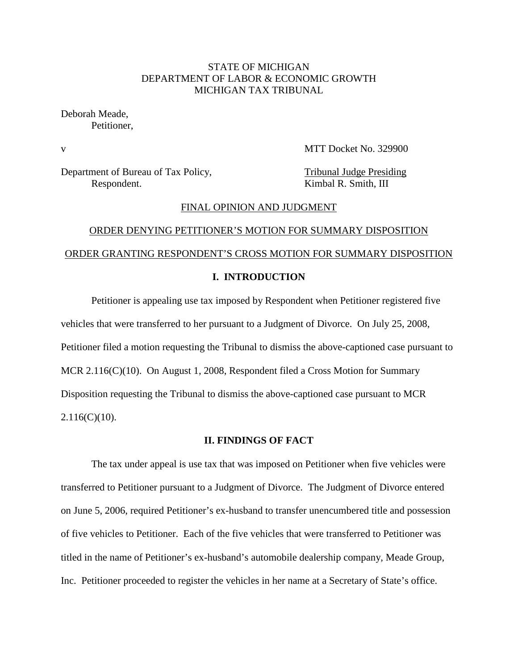## STATE OF MICHIGAN DEPARTMENT OF LABOR & ECONOMIC GROWTH MICHIGAN TAX TRIBUNAL

Deborah Meade, Petitioner,

v MTT Docket No. 329900

Department of Bureau of Tax Policy, Tribunal Judge Presiding Respondent. Kimbal R. Smith, III

#### FINAL OPINION AND JUDGMENT

# ORDER DENYING PETITIONER'S MOTION FOR SUMMARY DISPOSITION ORDER GRANTING RESPONDENT'S CROSS MOTION FOR SUMMARY DISPOSITION

## **I. INTRODUCTION**

Petitioner is appealing use tax imposed by Respondent when Petitioner registered five vehicles that were transferred to her pursuant to a Judgment of Divorce. On July 25, 2008, Petitioner filed a motion requesting the Tribunal to dismiss the above-captioned case pursuant to MCR 2.116(C)(10). On August 1, 2008, Respondent filed a Cross Motion for Summary Disposition requesting the Tribunal to dismiss the above-captioned case pursuant to MCR  $2.116(C)(10)$ .

#### **II. FINDINGS OF FACT**

The tax under appeal is use tax that was imposed on Petitioner when five vehicles were transferred to Petitioner pursuant to a Judgment of Divorce. The Judgment of Divorce entered on June 5, 2006, required Petitioner's ex-husband to transfer unencumbered title and possession of five vehicles to Petitioner. Each of the five vehicles that were transferred to Petitioner was titled in the name of Petitioner's ex-husband's automobile dealership company, Meade Group, Inc. Petitioner proceeded to register the vehicles in her name at a Secretary of State's office.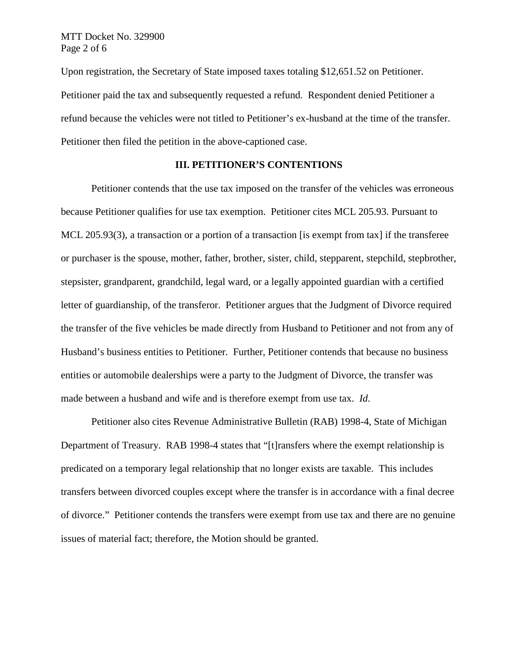Upon registration, the Secretary of State imposed taxes totaling \$12,651.52 on Petitioner. Petitioner paid the tax and subsequently requested a refund. Respondent denied Petitioner a refund because the vehicles were not titled to Petitioner's ex-husband at the time of the transfer. Petitioner then filed the petition in the above-captioned case.

## **III. PETITIONER'S CONTENTIONS**

Petitioner contends that the use tax imposed on the transfer of the vehicles was erroneous because Petitioner qualifies for use tax exemption. Petitioner cites MCL 205.93. Pursuant to MCL 205.93(3), a transaction or a portion of a transaction [is exempt from tax] if the transferee or purchaser is the spouse, mother, father, brother, sister, child, stepparent, stepchild, stepbrother, stepsister, grandparent, grandchild, legal ward, or a legally appointed guardian with a certified letter of guardianship, of the transferor. Petitioner argues that the Judgment of Divorce required the transfer of the five vehicles be made directly from Husband to Petitioner and not from any of Husband's business entities to Petitioner. Further, Petitioner contends that because no business entities or automobile dealerships were a party to the Judgment of Divorce, the transfer was made between a husband and wife and is therefore exempt from use tax. *Id*.

Petitioner also cites Revenue Administrative Bulletin (RAB) 1998-4, State of Michigan Department of Treasury. RAB 1998-4 states that "[t]ransfers where the exempt relationship is predicated on a temporary legal relationship that no longer exists are taxable. This includes transfers between divorced couples except where the transfer is in accordance with a final decree of divorce." Petitioner contends the transfers were exempt from use tax and there are no genuine issues of material fact; therefore, the Motion should be granted.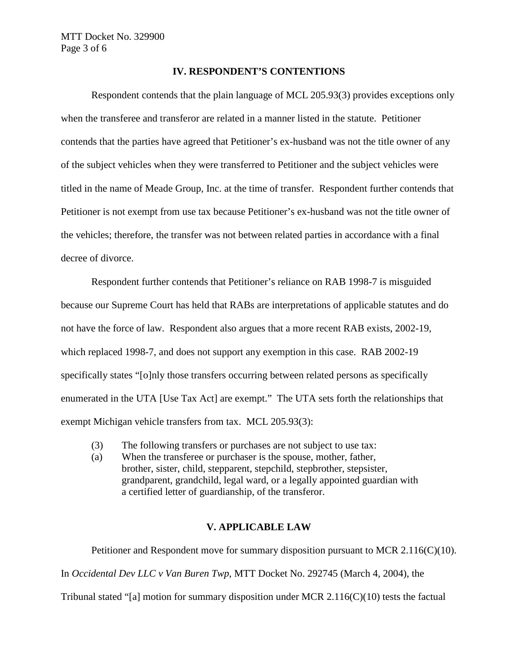### **IV. RESPONDENT'S CONTENTIONS**

Respondent contends that the plain language of MCL 205.93(3) provides exceptions only when the transferee and transferor are related in a manner listed in the statute. Petitioner contends that the parties have agreed that Petitioner's ex-husband was not the title owner of any of the subject vehicles when they were transferred to Petitioner and the subject vehicles were titled in the name of Meade Group, Inc. at the time of transfer. Respondent further contends that Petitioner is not exempt from use tax because Petitioner's ex-husband was not the title owner of the vehicles; therefore, the transfer was not between related parties in accordance with a final decree of divorce.

Respondent further contends that Petitioner's reliance on RAB 1998-7 is misguided because our Supreme Court has held that RABs are interpretations of applicable statutes and do not have the force of law. Respondent also argues that a more recent RAB exists, 2002-19, which replaced 1998-7, and does not support any exemption in this case. RAB 2002-19 specifically states "[o]nly those transfers occurring between related persons as specifically enumerated in the UTA [Use Tax Act] are exempt." The UTA sets forth the relationships that exempt Michigan vehicle transfers from tax. MCL 205.93(3):

- (3) The following transfers or purchases are not subject to use tax:
- (a) When the transferee or purchaser is the spouse, mother, father, brother, sister, child, stepparent, stepchild, stepbrother, stepsister, grandparent, grandchild, legal ward, or a legally appointed guardian with a certified letter of guardianship, of the transferor.

# **V. APPLICABLE LAW**

Petitioner and Respondent move for summary disposition pursuant to MCR 2.116(C)(10). In *Occidental Dev LLC v Van Buren Twp*, MTT Docket No. 292745 (March 4, 2004), the Tribunal stated "[a] motion for summary disposition under MCR  $2.116(C)(10)$  tests the factual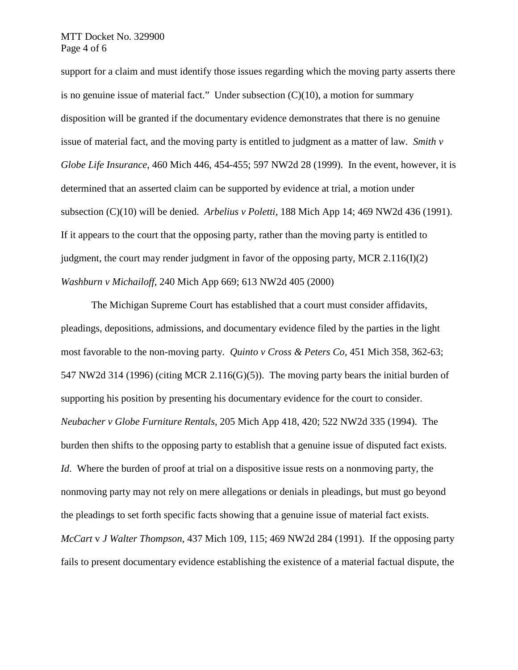support for a claim and must identify those issues regarding which the moving party asserts there is no genuine issue of material fact." Under subsection  $(C)(10)$ , a motion for summary disposition will be granted if the documentary evidence demonstrates that there is no genuine issue of material fact, and the moving party is entitled to judgment as a matter of law. *Smith v Globe Life Insurance*, 460 Mich 446, 454-455; 597 NW2d 28 (1999). In the event, however, it is determined that an asserted claim can be supported by evidence at trial, a motion under subsection (C)(10) will be denied. *Arbelius v Poletti*, 188 Mich App 14; 469 NW2d 436 (1991). If it appears to the court that the opposing party, rather than the moving party is entitled to judgment, the court may render judgment in favor of the opposing party, MCR  $2.116(I)(2)$ *Washburn v Michailoff*, 240 Mich App 669; 613 NW2d 405 (2000)

The Michigan Supreme Court has established that a court must consider affidavits, pleadings, depositions, admissions, and documentary evidence filed by the parties in the light most favorable to the non-moving party. *Quinto v Cross & Peters Co*, 451 Mich 358, 362-63; 547 NW2d 314 (1996) (citing MCR 2.116(G)(5)).The moving party bears the initial burden of supporting his position by presenting his documentary evidence for the court to consider. *Neubacher v Globe Furniture Rentals*, 205 Mich App 418, 420; 522 NW2d 335 (1994). The burden then shifts to the opposing party to establish that a genuine issue of disputed fact exists. *Id.* Where the burden of proof at trial on a dispositive issue rests on a nonmoving party, the nonmoving party may not rely on mere allegations or denials in pleadings, but must go beyond the pleadings to set forth specific facts showing that a genuine issue of material fact exists. *McCart* v *J Walter Thompson*, 437 Mich 109, 115; 469 NW2d 284 (1991). If the opposing party fails to present documentary evidence establishing the existence of a material factual dispute, the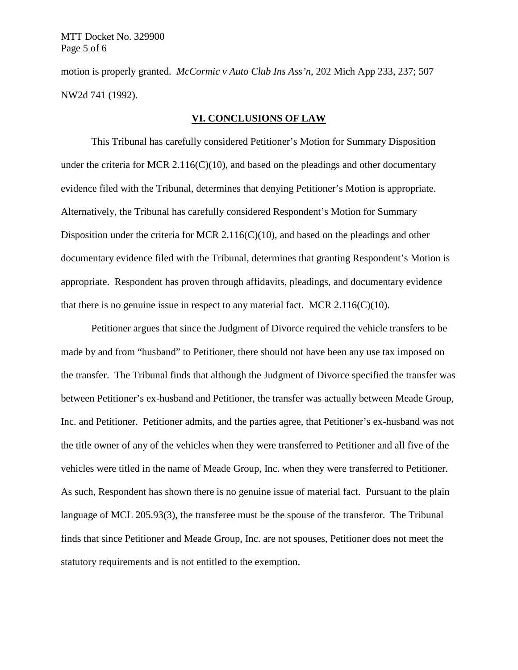motion is properly granted. *McCormic v Auto Club Ins Ass'n*, 202 Mich App 233, 237; 507 NW2d 741 (1992).

#### **VI. CONCLUSIONS OF LAW**

This Tribunal has carefully considered Petitioner's Motion for Summary Disposition under the criteria for MCR 2.116(C)(10), and based on the pleadings and other documentary evidence filed with the Tribunal, determines that denying Petitioner's Motion is appropriate. Alternatively, the Tribunal has carefully considered Respondent's Motion for Summary Disposition under the criteria for MCR 2.116(C)(10), and based on the pleadings and other documentary evidence filed with the Tribunal, determines that granting Respondent's Motion is appropriate. Respondent has proven through affidavits, pleadings, and documentary evidence that there is no genuine issue in respect to any material fact. MCR  $2.116(C)(10)$ .

Petitioner argues that since the Judgment of Divorce required the vehicle transfers to be made by and from "husband" to Petitioner, there should not have been any use tax imposed on the transfer. The Tribunal finds that although the Judgment of Divorce specified the transfer was between Petitioner's ex-husband and Petitioner, the transfer was actually between Meade Group, Inc. and Petitioner. Petitioner admits, and the parties agree, that Petitioner's ex-husband was not the title owner of any of the vehicles when they were transferred to Petitioner and all five of the vehicles were titled in the name of Meade Group, Inc. when they were transferred to Petitioner. As such, Respondent has shown there is no genuine issue of material fact. Pursuant to the plain language of MCL 205.93(3), the transferee must be the spouse of the transferor. The Tribunal finds that since Petitioner and Meade Group, Inc. are not spouses, Petitioner does not meet the statutory requirements and is not entitled to the exemption.